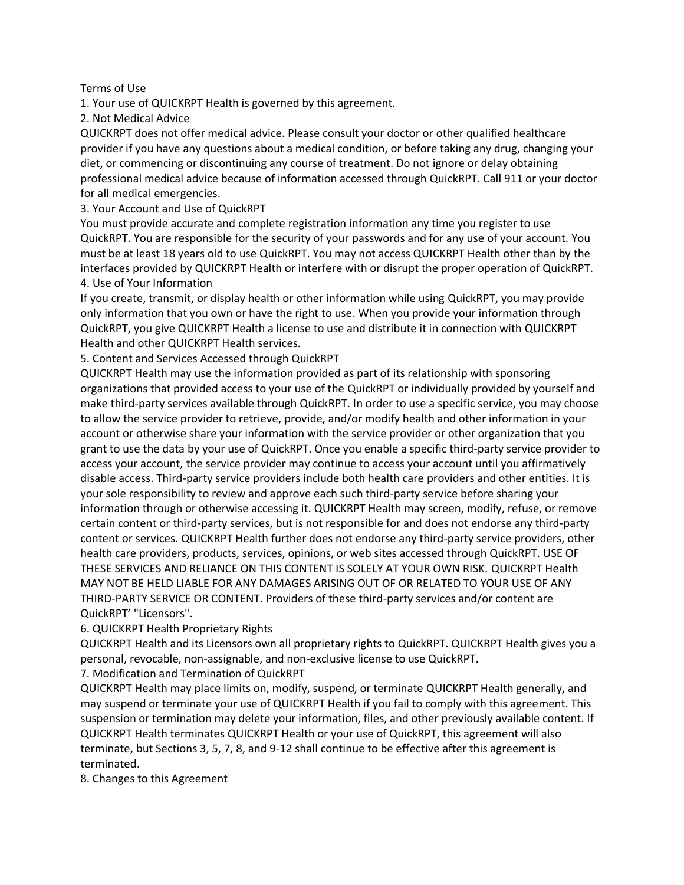## Terms of Use

1. Your use of QUICKRPT Health is governed by this agreement.

2. Not Medical Advice

QUICKRPT does not offer medical advice. Please consult your doctor or other qualified healthcare provider if you have any questions about a medical condition, or before taking any drug, changing your diet, or commencing or discontinuing any course of treatment. Do not ignore or delay obtaining professional medical advice because of information accessed through QuickRPT. Call 911 or your doctor for all medical emergencies.

3. Your Account and Use of QuickRPT

You must provide accurate and complete registration information any time you register to use QuickRPT. You are responsible for the security of your passwords and for any use of your account. You must be at least 18 years old to use QuickRPT. You may not access QUICKRPT Health other than by the interfaces provided by QUICKRPT Health or interfere with or disrupt the proper operation of QuickRPT. 4. Use of Your Information

If you create, transmit, or display health or other information while using QuickRPT, you may provide only information that you own or have the right to use. When you provide your information through QuickRPT, you give QUICKRPT Health a license to use and distribute it in connection with QUICKRPT Health and other QUICKRPT Health services.

5. Content and Services Accessed through QuickRPT

QUICKRPT Health may use the information provided as part of its relationship with sponsoring organizations that provided access to your use of the QuickRPT or individually provided by yourself and make third-party services available through QuickRPT. In order to use a specific service, you may choose to allow the service provider to retrieve, provide, and/or modify health and other information in your account or otherwise share your information with the service provider or other organization that you grant to use the data by your use of QuickRPT. Once you enable a specific third-party service provider to access your account, the service provider may continue to access your account until you affirmatively disable access. Third-party service providers include both health care providers and other entities. It is your sole responsibility to review and approve each such third-party service before sharing your information through or otherwise accessing it. QUICKRPT Health may screen, modify, refuse, or remove certain content or third-party services, but is not responsible for and does not endorse any third-party content or services. QUICKRPT Health further does not endorse any third-party service providers, other health care providers, products, services, opinions, or web sites accessed through QuickRPT. USE OF THESE SERVICES AND RELIANCE ON THIS CONTENT IS SOLELY AT YOUR OWN RISK. QUICKRPT Health MAY NOT BE HELD LIABLE FOR ANY DAMAGES ARISING OUT OF OR RELATED TO YOUR USE OF ANY THIRD-PARTY SERVICE OR CONTENT. Providers of these third-party services and/or content are QuickRPT' "Licensors".

## 6. QUICKRPT Health Proprietary Rights

QUICKRPT Health and its Licensors own all proprietary rights to QuickRPT. QUICKRPT Health gives you a personal, revocable, non-assignable, and non-exclusive license to use QuickRPT.

7. Modification and Termination of QuickRPT

QUICKRPT Health may place limits on, modify, suspend, or terminate QUICKRPT Health generally, and may suspend or terminate your use of QUICKRPT Health if you fail to comply with this agreement. This suspension or termination may delete your information, files, and other previously available content. If QUICKRPT Health terminates QUICKRPT Health or your use of QuickRPT, this agreement will also terminate, but Sections 3, 5, 7, 8, and 9-12 shall continue to be effective after this agreement is terminated.

8. Changes to this Agreement